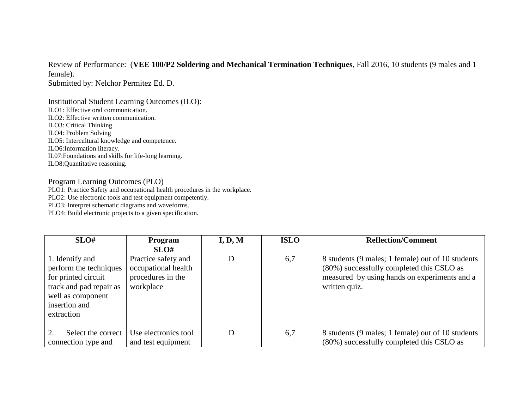Review of Performance: (**VEE 100/P2 Soldering and Mechanical Termination Techniques**, Fall 2016, 10 students (9 males and 1 female).

Submitted by: Nelchor Permitez Ed. D.

Institutional Student Learning Outcomes (ILO): ILO1: Effective oral communication. ILO2: Effective written communication. ILO3: Critical Thinking ILO4: Problem Solving ILO5: Intercultural knowledge and competence. ILO6:Information literacy. IL07:Foundations and skills for life-long learning. ILO8:Quantitative reasoning.

## Program Learning Outcomes (PLO)

PLO1: Practice Safety and occupational health procedures in the workplace.

PLO2: Use electronic tools and test equipment competently.

PLO3: Interpret schematic diagrams and waveforms.

PLO4: Build electronic projects to a given specification.

| SLO#                                                                                                                                            | <b>Program</b>                                                               | I, D, M | <b>ISLO</b> | <b>Reflection/Comment</b>                                                                                                                                       |
|-------------------------------------------------------------------------------------------------------------------------------------------------|------------------------------------------------------------------------------|---------|-------------|-----------------------------------------------------------------------------------------------------------------------------------------------------------------|
|                                                                                                                                                 | SLO#                                                                         |         |             |                                                                                                                                                                 |
| 1. Identify and<br>perform the techniques<br>for printed circuit<br>track and pad repair as<br>well as component<br>insertion and<br>extraction | Practice safety and<br>occupational health<br>procedures in the<br>workplace | D       | 6,7         | 8 students (9 males; 1 female) out of 10 students<br>(80%) successfully completed this CSLO as<br>measured by using hands on experiments and a<br>written quiz. |
|                                                                                                                                                 |                                                                              |         |             |                                                                                                                                                                 |
| 2.<br>Select the correct                                                                                                                        | Use electronics tool                                                         |         | 6,7         | 8 students (9 males; 1 female) out of 10 students                                                                                                               |
| connection type and                                                                                                                             | and test equipment                                                           |         |             | (80%) successfully completed this CSLO as                                                                                                                       |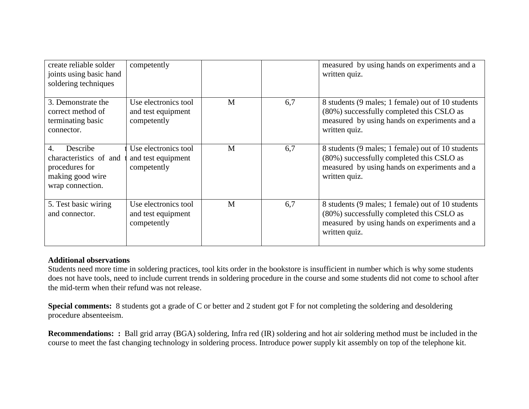| create reliable solder<br>joints using basic hand<br>soldering techniques                                        | competently                                               |   |     | measured by using hands on experiments and a<br>written quiz.                                                                                                   |
|------------------------------------------------------------------------------------------------------------------|-----------------------------------------------------------|---|-----|-----------------------------------------------------------------------------------------------------------------------------------------------------------------|
| 3. Demonstrate the<br>correct method of<br>terminating basic<br>connector.                                       | Use electronics tool<br>and test equipment<br>competently | M | 6,7 | 8 students (9 males; 1 female) out of 10 students<br>(80%) successfully completed this CSLO as<br>measured by using hands on experiments and a<br>written quiz. |
| $\overline{4}$ .<br>Describe<br>characteristics of and<br>procedures for<br>making good wire<br>wrap connection. | Use electronics tool<br>and test equipment<br>competently | M | 6,7 | 8 students (9 males; 1 female) out of 10 students<br>(80%) successfully completed this CSLO as<br>measured by using hands on experiments and a<br>written quiz. |
| 5. Test basic wiring<br>and connector.                                                                           | Use electronics tool<br>and test equipment<br>competently | M | 6,7 | 8 students (9 males; 1 female) out of 10 students<br>(80%) successfully completed this CSLO as<br>measured by using hands on experiments and a<br>written quiz. |

## **Additional observations**

Students need more time in soldering practices, tool kits order in the bookstore is insufficient in number which is why some students does not have tools, need to include current trends in soldering procedure in the course and some students did not come to school after the mid-term when their refund was not release.

**Special comments:** 8 students got a grade of C or better and 2 student got F for not completing the soldering and desoldering procedure absenteeism.

**Recommendations: :** Ball grid array (BGA) soldering, Infra red (IR) soldering and hot air soldering method must be included in the course to meet the fast changing technology in soldering process. Introduce power supply kit assembly on top of the telephone kit.